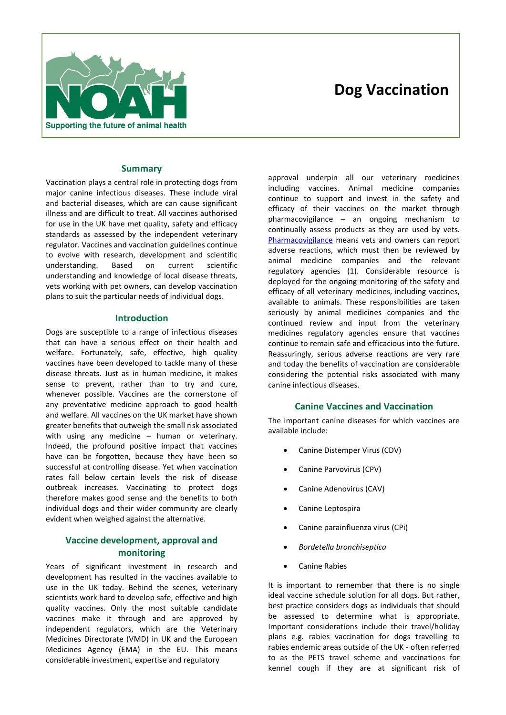# Supporting the future of animal health

# **Dog Vaccination**

# **Summary**

Vaccination plays a central role in protecting dogs from major canine infectious diseases. These include viral and bacterial diseases, which are can cause significant illness and are difficult to treat. All vaccines authorised for use in the UK have met quality, safety and efficacy standards as assessed by the independent veterinary regulator. Vaccines and vaccination guidelines continue to evolve with research, development and scientific understanding. Based on current scientific understanding and knowledge of local disease threats, vets working with pet owners, can develop vaccination plans to suit the particular needs of individual dogs.

# **Introduction**

Dogs are susceptible to a range of infectious diseases that can have a serious effect on their health and welfare. Fortunately, safe, effective, high quality vaccines have been developed to tackle many of these disease threats. Just as in human medicine, it makes sense to prevent, rather than to try and cure, whenever possible. Vaccines are the cornerstone of any preventative medicine approach to good health and welfare. All vaccines on the UK market have shown greater benefits that outweigh the small risk associated with using any medicine – human or veterinary. Indeed, the profound positive impact that vaccines have can be forgotten, because they have been so successful at controlling disease. Yet when vaccination rates fall below certain levels the risk of disease outbreak increases. Vaccinating to protect dogs therefore makes good sense and the benefits to both individual dogs and their wider community are clearly evident when weighed against the alternative.

# **Vaccine development, approval and monitoring**

Years of significant investment in research and development has resulted in the vaccines available to use in the UK today. Behind the scenes, veterinary scientists work hard to develop safe, effective and high quality vaccines. Only the most suitable candidate vaccines make it through and are approved by independent regulators, which are the Veterinary Medicines Directorate (VMD) in UK and the European Medicines Agency (EMA) in the EU. This means considerable investment, expertise and regulatory

approval underpin all our veterinary medicines including vaccines. Animal medicine companies continue to support and invest in the safety and efficacy of their vaccines on the market through pharmacovigilance – an ongoing mechanism to continually assess products as they are used by vets. Pharmacovigilance means vets and owners can report adverse reactions, which must then be reviewed by animal medicine companies and the relevant regulatory agencies (1). Considerable resource is deployed for the ongoing monitoring of the safety and efficacy of all veterinary medicines, including vaccines, available to animals. These responsibilities are taken seriously by animal medicines companies and the continued review and input from the veterinary medicines regulatory agencies ensure that vaccines continue to remain safe and efficacious into the future. Reassuringly, serious adverse reactions are very rare and today the benefits of vaccination are considerable considering the potential risks associated with many canine infectious diseases.

# **Canine Vaccines and Vaccination**

The important canine diseases for which vaccines are available include:

- Canine Distemper Virus (CDV)
- Canine Parvovirus (CPV)
- Canine Adenovirus (CAV)
- Canine Leptospira
- Canine parainfluenza virus (CPi)
- *Bordetella bronchiseptica*
- Canine Rabies

It is important to remember that there is no single ideal vaccine schedule solution for all dogs. But rather, best practice considers dogs as individuals that should be assessed to determine what is appropriate. Important considerations include their travel/holiday plans e.g. rabies vaccination for dogs travelling to rabies endemic areas outside of the UK - often referred to as the PETS travel scheme and vaccinations for kennel cough if they are at significant risk of